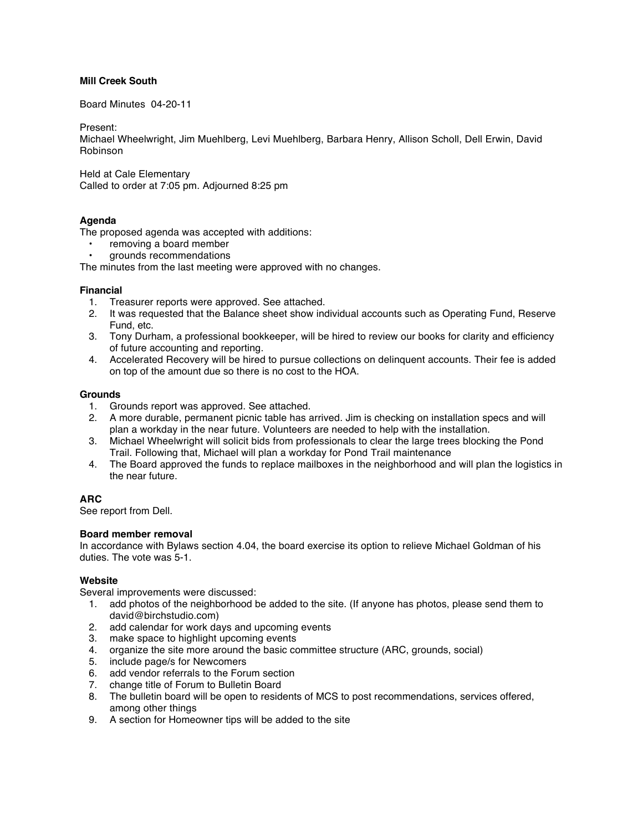# **Mill Creek South**

Board Minutes 04-20-11

Present:

Michael Wheelwright, Jim Muehlberg, Levi Muehlberg, Barbara Henry, Allison Scholl, Dell Erwin, David Robinson

Held at Cale Elementary Called to order at 7:05 pm. Adjourned 8:25 pm

# **Agenda**

The proposed agenda was accepted with additions:

- removing a board member
- grounds recommendations

The minutes from the last meeting were approved with no changes.

#### **Financial**

- 1. Treasurer reports were approved. See attached.
- 2. It was requested that the Balance sheet show individual accounts such as Operating Fund, Reserve Fund, etc.
- 3. Tony Durham, a professional bookkeeper, will be hired to review our books for clarity and efficiency of future accounting and reporting.
- 4. Accelerated Recovery will be hired to pursue collections on delinquent accounts. Their fee is added on top of the amount due so there is no cost to the HOA.

#### **Grounds**

- 1. Grounds report was approved. See attached.
- 2. A more durable, permanent picnic table has arrived. Jim is checking on installation specs and will plan a workday in the near future. Volunteers are needed to help with the installation.
- 3. Michael Wheelwright will solicit bids from professionals to clear the large trees blocking the Pond Trail. Following that, Michael will plan a workday for Pond Trail maintenance
- 4. The Board approved the funds to replace mailboxes in the neighborhood and will plan the logistics in the near future.

# **ARC**

See report from Dell.

# **Board member removal**

In accordance with Bylaws section 4.04, the board exercise its option to relieve Michael Goldman of his duties. The vote was 5-1.

# **Website**

Several improvements were discussed:

- 1. add photos of the neighborhood be added to the site. (If anyone has photos, please send them to david@birchstudio.com)
- 2. add calendar for work days and upcoming events
- 3. make space to highlight upcoming events
- 4. organize the site more around the basic committee structure (ARC, grounds, social)
- 5. include page/s for Newcomers
- 6. add vendor referrals to the Forum section
- 7. change title of Forum to Bulletin Board
- 8. The bulletin board will be open to residents of MCS to post recommendations, services offered, among other things
- 9. A section for Homeowner tips will be added to the site